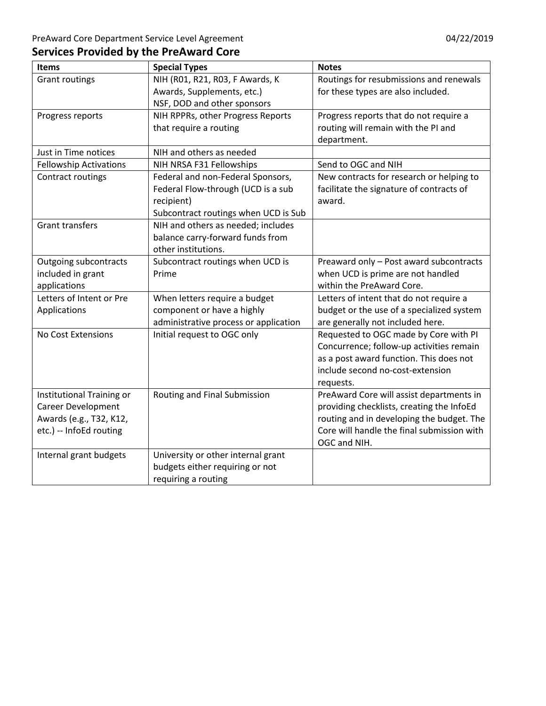| <b>Items</b>                  | <b>Special Types</b>                  | <b>Notes</b>                               |
|-------------------------------|---------------------------------------|--------------------------------------------|
| <b>Grant routings</b>         | NIH (R01, R21, R03, F Awards, K       | Routings for resubmissions and renewals    |
|                               | Awards, Supplements, etc.)            | for these types are also included.         |
|                               | NSF, DOD and other sponsors           |                                            |
| Progress reports              | NIH RPPRs, other Progress Reports     | Progress reports that do not require a     |
|                               | that require a routing                | routing will remain with the PI and        |
|                               |                                       | department.                                |
| Just in Time notices          | NIH and others as needed              |                                            |
| <b>Fellowship Activations</b> | NIH NRSA F31 Fellowships              | Send to OGC and NIH                        |
| Contract routings             | Federal and non-Federal Sponsors,     | New contracts for research or helping to   |
|                               | Federal Flow-through (UCD is a sub    | facilitate the signature of contracts of   |
|                               | recipient)                            | award.                                     |
|                               | Subcontract routings when UCD is Sub  |                                            |
| <b>Grant transfers</b>        | NIH and others as needed; includes    |                                            |
|                               | balance carry-forward funds from      |                                            |
|                               | other institutions.                   |                                            |
| <b>Outgoing subcontracts</b>  | Subcontract routings when UCD is      | Preaward only - Post award subcontracts    |
| included in grant             | Prime                                 | when UCD is prime are not handled          |
| applications                  |                                       | within the PreAward Core.                  |
| Letters of Intent or Pre      | When letters require a budget         | Letters of intent that do not require a    |
| Applications                  | component or have a highly            | budget or the use of a specialized system  |
|                               | administrative process or application | are generally not included here.           |
| No Cost Extensions            | Initial request to OGC only           | Requested to OGC made by Core with PI      |
|                               |                                       | Concurrence; follow-up activities remain   |
|                               |                                       | as a post award function. This does not    |
|                               |                                       | include second no-cost-extension           |
|                               |                                       | requests.                                  |
| Institutional Training or     | Routing and Final Submission          | PreAward Core will assist departments in   |
| <b>Career Development</b>     |                                       | providing checklists, creating the InfoEd  |
| Awards (e.g., T32, K12,       |                                       | routing and in developing the budget. The  |
| etc.) -- InfoEd routing       |                                       | Core will handle the final submission with |
|                               |                                       | OGC and NIH.                               |
| Internal grant budgets        | University or other internal grant    |                                            |
|                               | budgets either requiring or not       |                                            |
|                               | requiring a routing                   |                                            |